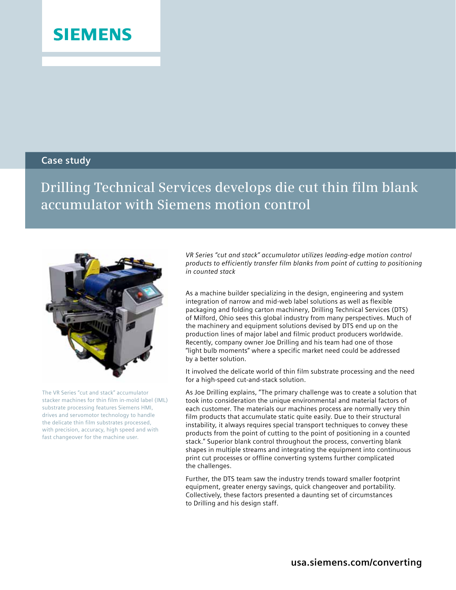## **SIEMENS**

## **Case study**

**Drilling Technical Services develops die cut thin film blank accumulator with Siemens motion control**



The VR Series "cut and stack" accumulator stacker machines for thin film in-mold label (IML) substrate processing features Siemens HMI, drives and servomotor technology to handle the delicate thin film substrates processed, with precision, accuracy, high speed and with fast changeover for the machine user.

*VR Series "cut and stack" accumulator utilizes leading-edge motion control products to efficiently transfer film blanks from point of cutting to positioning in counted stack*

As a machine builder specializing in the design, engineering and system integration of narrow and mid-web label solutions as well as flexible packaging and folding carton machinery, Drilling Technical Services (DTS) of Milford, Ohio sees this global industry from many perspectives. Much of the machinery and equipment solutions devised by DTS end up on the production lines of major label and filmic product producers worldwide. Recently, company owner Joe Drilling and his team had one of those "light bulb moments" where a specific market need could be addressed by a better solution.

It involved the delicate world of thin film substrate processing and the need for a high-speed cut-and-stack solution.

As Joe Drilling explains, "The primary challenge was to create a solution that took into consideration the unique environmental and material factors of each customer. The materials our machines process are normally very thin film products that accumulate static quite easily. Due to their structural instability, it always requires special transport techniques to convey these products from the point of cutting to the point of positioning in a counted stack." Superior blank control throughout the process, converting blank shapes in multiple streams and integrating the equipment into continuous print cut processes or offline converting systems further complicated the challenges.

Further, the DTS team saw the industry trends toward smaller footprint equipment, greater energy savings, quick changeover and portability. Collectively, these factors presented a daunting set of circumstances to Drilling and his design staff.